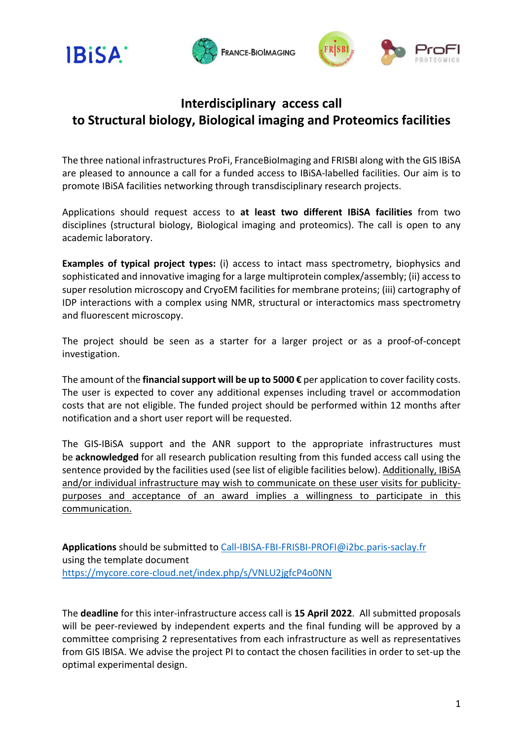





## **Interdisciplinary access call to Structural biology, Biological imaging and Proteomics facilities**

The three national infrastructures ProFi, FranceBioImaging and FRISBI along with the GIS IBiSA are pleased to announce a call for a funded access to IBiSA-labelled facilities. Our aim is to promote IBiSA facilities networking through transdisciplinary research projects.

Applications should request access to **at least two different IBiSA facilities** from two disciplines (structural biology, Biological imaging and proteomics). The call is open to any academic laboratory.

**Examples of typical project types:** (i) access to intact mass spectrometry, biophysics and sophisticated and innovative imaging for a large multiprotein complex/assembly; (ii) access to super resolution microscopy and CryoEM facilities for membrane proteins; (iii) cartography of IDP interactions with a complex using NMR, structural or interactomics mass spectrometry and fluorescent microscopy.

The project should be seen as a starter for a larger project or as a proof-of-concept investigation.

The amount of the **financial support will be up to 5000 €** per application to cover facility costs. The user is expected to cover any additional expenses including travel or accommodation costs that are not eligible. The funded project should be performed within 12 months after notification and a short user report will be requested.

The GIS-IBiSA support and the ANR support to the appropriate infrastructures must be **acknowledged** for all research publication resulting from this funded access call using the sentence provided by the facilities used (see list of eligible facilities below). Additionally, IBiSA and/or individual infrastructure may wish to communicate on these user visits for publicitypurposes and acceptance of an award implies a willingness to participate in this communication.

**Applications** should be submitted to Call-IBISA-FBI-FRISBI-PROFI@i2bc.paris-saclay.fr using the template document https://mycore.core-cloud.net/index.php/s/VNLU2jgfcP4o0NN

The **deadline** for this inter-infrastructure access call is **15 April 2022**. All submitted proposals will be peer-reviewed by independent experts and the final funding will be approved by a committee comprising 2 representatives from each infrastructure as well as representatives from GIS IBISA. We advise the project PI to contact the chosen facilities in order to set-up the optimal experimental design.